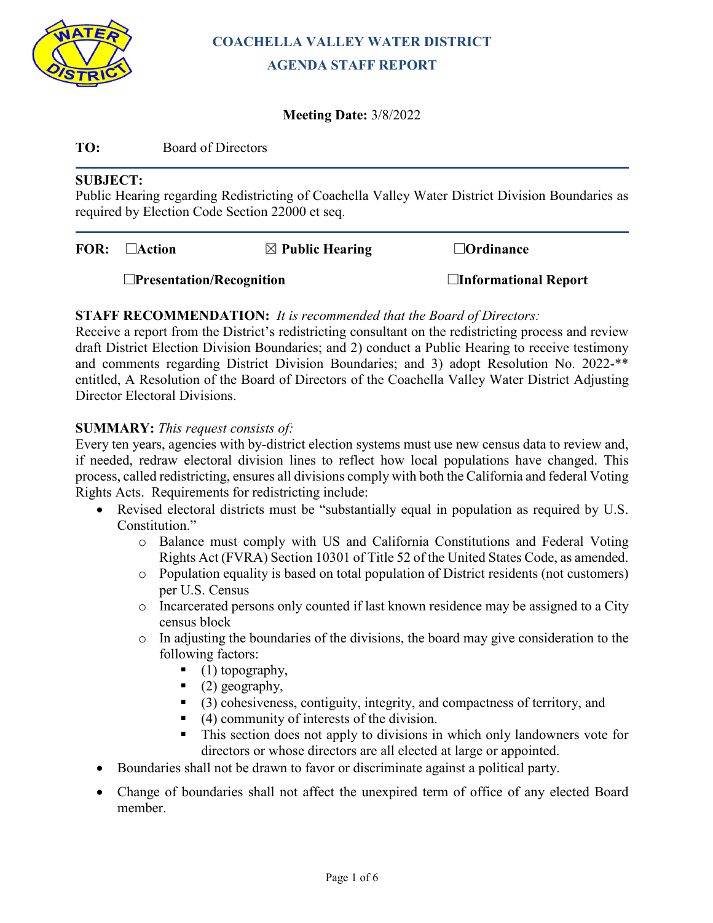

# **COACHELLA VALLEY WATER DISTRICT AGENDA STAFF REPORT**

# **Meeting Date:** 3/8/2022

# **TO:** Board of Directors

## **SUBJECT:**

Public Hearing regarding Redistricting of Coachella Valley Water District Division Boundaries as required by Election Code Section 22000 et seq.

| $FOR: \square$ Action           | $\boxtimes$ Public Hearing | $\Box$ Ordinance            |
|---------------------------------|----------------------------|-----------------------------|
| $\Box$ Presentation/Recognition |                            | $\Box$ Informational Report |

# **STAFF RECOMMENDATION:** *It is recommended that the Board of Directors:*

Receive a report from the District's redistricting consultant on the redistricting process and review draft District Election Division Boundaries; and 2) conduct a Public Hearing to receive testimony and comments regarding District Division Boundaries; and 3) adopt Resolution No. 2022-\*\* entitled, A Resolution of the Board of Directors of the Coachella Valley Water District Adjusting Director Electoral Divisions.

## **SUMMARY:** *This request consists of:*

Every ten years, agencies with by-district election systems must use new census data to review and, if needed, redraw electoral division lines to reflect how local populations have changed. This process, called redistricting, ensures all divisions comply with both the California and federal Voting Rights Acts. Requirements for redistricting include:

- Revised electoral districts must be "substantially equal in population as required by U.S. Constitution."
	- o Balance must comply with US and California Constitutions and Federal Voting Rights Act (FVRA) Section 10301 of Title 52 of the United States Code, as amended.
	- o Population equality is based on total population of District residents (not customers) per U.S. Census
	- o Incarcerated persons only counted if last known residence may be assigned to a City census block
	- $\circ$  In adjusting the boundaries of the divisions, the board may give consideration to the following factors:
		- $(1)$  topography,
		- $(2)$  geography,
		- (3) cohesiveness, contiguity, integrity, and compactness of territory, and
		- $(4)$  community of interests of the division.
		- This section does not apply to divisions in which only landowners vote for directors or whose directors are all elected at large or appointed.
- Boundaries shall not be drawn to favor or discriminate against a political party.
- Change of boundaries shall not affect the unexpired term of office of any elected Board member.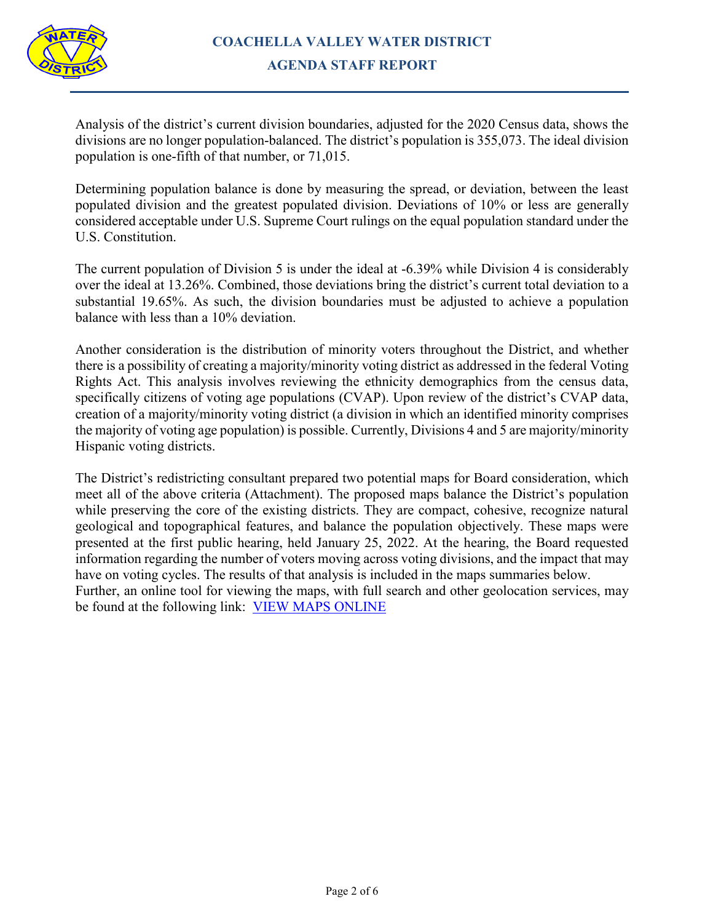

Analysis of the district's current division boundaries, adjusted for the 2020 Census data, shows the divisions are no longer population-balanced. The district's population is 355,073. The ideal division population is one-fifth of that number, or 71,015.

Determining population balance is done by measuring the spread, or deviation, between the least populated division and the greatest populated division. Deviations of 10% or less are generally considered acceptable under U.S. Supreme Court rulings on the equal population standard under the U.S. Constitution.

The current population of Division 5 is under the ideal at -6.39% while Division 4 is considerably over the ideal at 13.26%. Combined, those deviations bring the district's current total deviation to a substantial 19.65%. As such, the division boundaries must be adjusted to achieve a population balance with less than a 10% deviation.

Another consideration is the distribution of minority voters throughout the District, and whether there is a possibility of creating a majority/minority voting district as addressed in the federal Voting Rights Act. This analysis involves reviewing the ethnicity demographics from the census data, specifically citizens of voting age populations (CVAP). Upon review of the district's CVAP data, creation of a majority/minority voting district (a division in which an identified minority comprises the majority of voting age population) is possible. Currently, Divisions 4 and 5 are majority/minority Hispanic voting districts.

The District's redistricting consultant prepared two potential maps for Board consideration, which meet all of the above criteria (Attachment). The proposed maps balance the District's population while preserving the core of the existing districts. They are compact, cohesive, recognize natural geological and topographical features, and balance the population objectively. These maps were presented at the first public hearing, held January 25, 2022. At the hearing, the Board requested information regarding the number of voters moving across voting divisions, and the impact that may have on voting cycles. The results of that analysis is included in the maps summaries below. Further, an online tool for viewing the maps, with full search and other geolocation services, may be found at the following link: [VIEW MAPS ONLINE](https://protect-us.mimecast.com/s/n8mVCkRw1nIYPjQNi2WwsN?domain=google.com)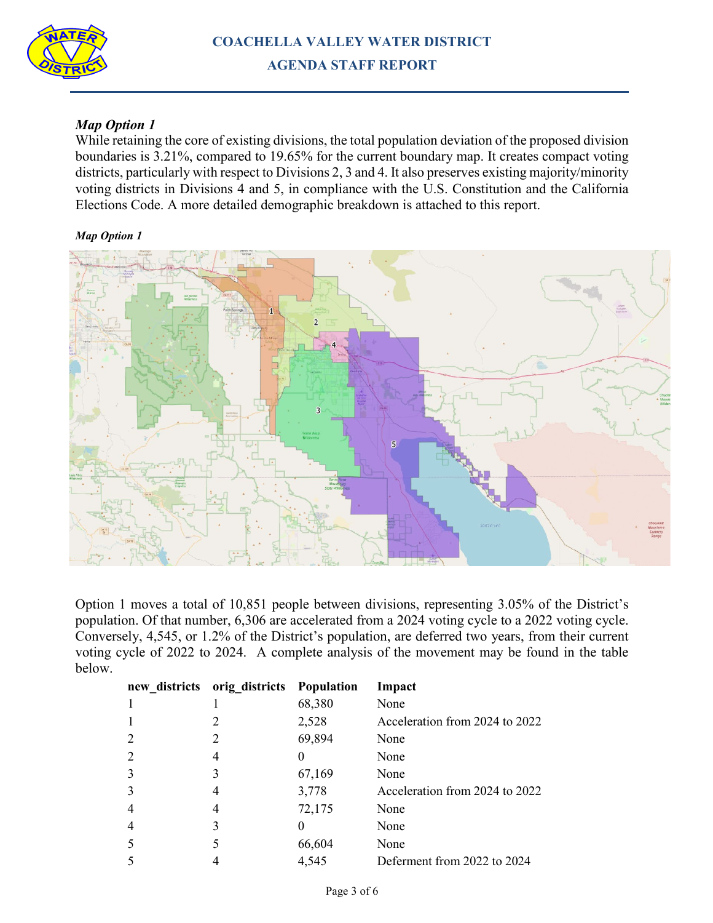

# *Map Option 1*

While retaining the core of existing divisions, the total population deviation of the proposed division boundaries is 3.21%, compared to 19.65% for the current boundary map. It creates compact voting districts, particularly with respect to Divisions 2, 3 and 4. It also preserves existing majority/minority voting districts in Divisions 4 and 5, in compliance with the U.S. Constitution and the California Elections Code. A more detailed demographic breakdown is attached to this report.

#### *Map Option 1*



Option 1 moves a total of 10,851 people between divisions, representing 3.05% of the District's population. Of that number, 6,306 are accelerated from a 2024 voting cycle to a 2022 voting cycle. Conversely, 4,545, or 1.2% of the District's population, are deferred two years, from their current voting cycle of 2022 to 2024. A complete analysis of the movement may be found in the table below.

| new districts  | orig_districts | <b>Population</b> | Impact                         |
|----------------|----------------|-------------------|--------------------------------|
| 1              |                | 68,380            | None                           |
| $\mathbf{1}$   |                | 2,528             | Acceleration from 2024 to 2022 |
| $\overline{2}$ |                | 69,894            | None                           |
| $\overline{2}$ |                |                   | None                           |
| 3              |                | 67,169            | None                           |
| 3              |                | 3,778             | Acceleration from 2024 to 2022 |
| $\overline{4}$ |                | 72,175            | None                           |
| $\overline{4}$ | 3              |                   | None                           |
| 5              |                | 66,604            | None                           |
| 5              |                | 4,545             | Deferment from 2022 to 2024    |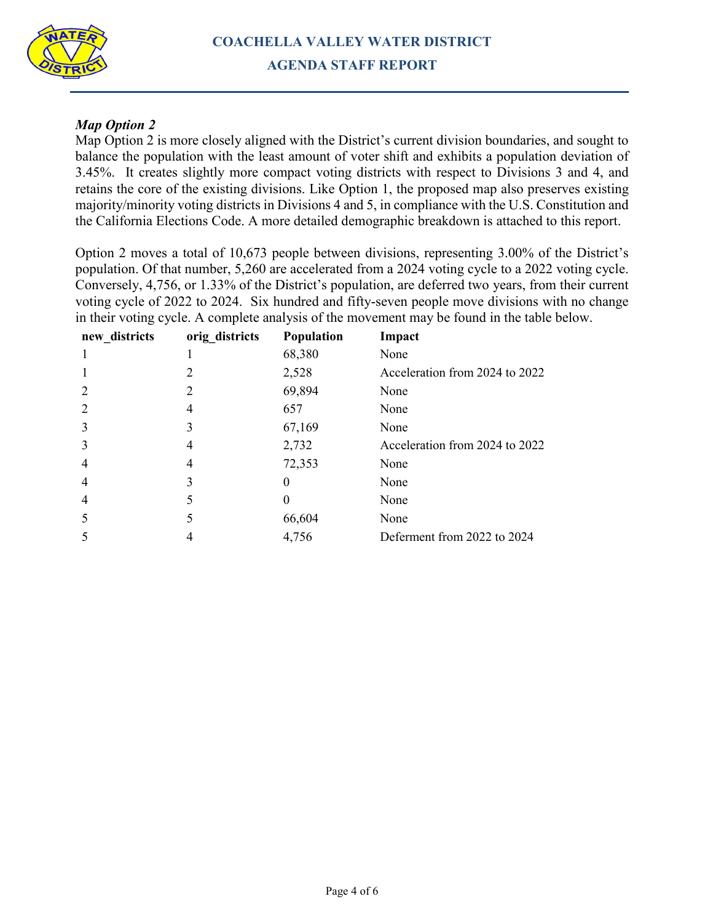

# *Map Option 2*

Map Option 2 is more closely aligned with the District's current division boundaries, and sought to balance the population with the least amount of voter shift and exhibits a population deviation of 3.45%. It creates slightly more compact voting districts with respect to Divisions 3 and 4, and retains the core of the existing divisions. Like Option 1, the proposed map also preserves existing majority/minority voting districts in Divisions 4 and 5, in compliance with the U.S. Constitution and the California Elections Code. A more detailed demographic breakdown is attached to this report.

Option 2 moves a total of 10,673 people between divisions, representing 3.00% of the District's population. Of that number, 5,260 are accelerated from a 2024 voting cycle to a 2022 voting cycle. Conversely, 4,756, or 1.33% of the District's population, are deferred two years, from their current voting cycle of 2022 to 2024. Six hundred and fifty-seven people move divisions with no change in their voting cycle. A complete analysis of the movement may be found in the table below.

| new districts  | orig_districts | Population | Impact                         |
|----------------|----------------|------------|--------------------------------|
|                |                | 68,380     | None                           |
|                | 2              | 2,528      | Acceleration from 2024 to 2022 |
| 2              | 2              | 69,894     | None                           |
| 2              | 4              | 657        | None                           |
| 3              | 3              | 67,169     | None                           |
| 3              | 4              | 2,732      | Acceleration from 2024 to 2022 |
| $\overline{4}$ | 4              | 72,353     | None                           |
| 4              | 3              | $\Omega$   | None                           |
| $\overline{4}$ |                |            | None                           |
| 5              | 5              | 66,604     | None                           |
| 5              |                | 4,756      | Deferment from 2022 to 2024    |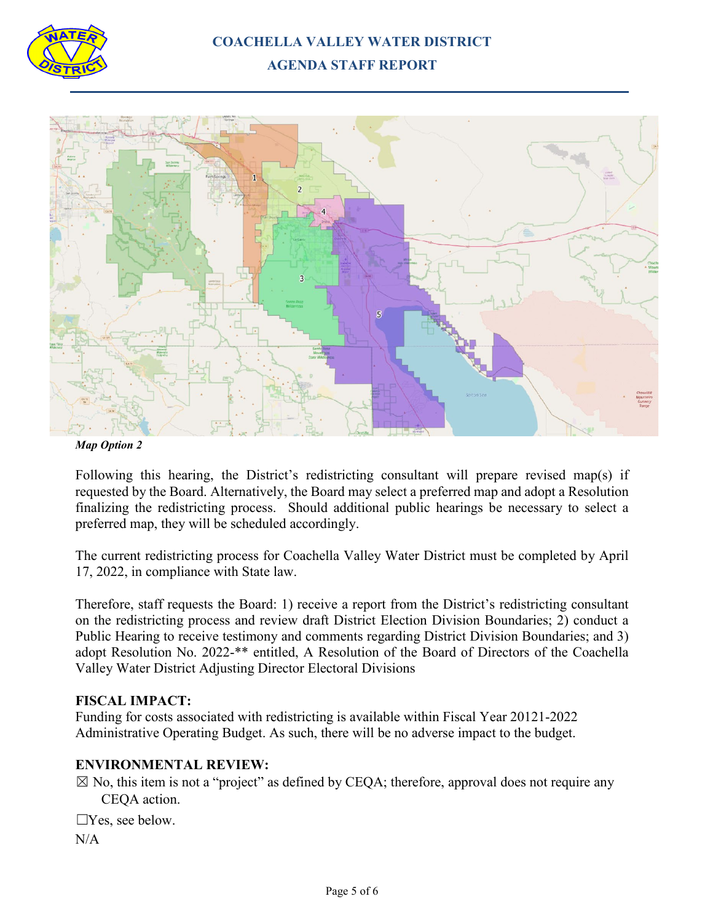

# **COACHELLA VALLEY WATER DISTRICT AGENDA STAFF REPORT**



#### *Map Option 2*

Following this hearing, the District's redistricting consultant will prepare revised map(s) if requested by the Board. Alternatively, the Board may select a preferred map and adopt a Resolution finalizing the redistricting process. Should additional public hearings be necessary to select a preferred map, they will be scheduled accordingly.

The current redistricting process for Coachella Valley Water District must be completed by April 17, 2022, in compliance with State law.

Therefore, staff requests the Board: 1) receive a report from the District's redistricting consultant on the redistricting process and review draft District Election Division Boundaries; 2) conduct a Public Hearing to receive testimony and comments regarding District Division Boundaries; and 3) adopt Resolution No. 2022-\*\* entitled, A Resolution of the Board of Directors of the Coachella Valley Water District Adjusting Director Electoral Divisions

## **FISCAL IMPACT:**

Funding for costs associated with redistricting is available within Fiscal Year 20121-2022 Administrative Operating Budget. As such, there will be no adverse impact to the budget.

# **ENVIRONMENTAL REVIEW:**

 $\boxtimes$  No, this item is not a "project" as defined by CEQA; therefore, approval does not require any CEQA action.

☐Yes, see below. N/A